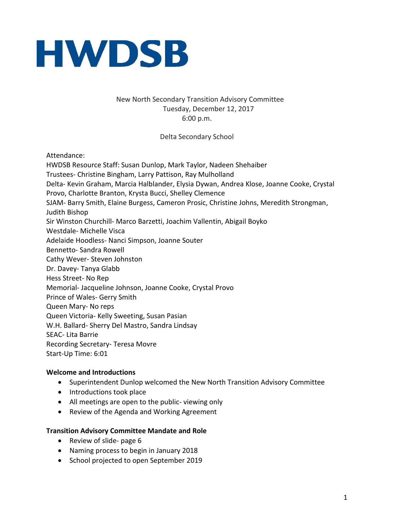

# New North Secondary Transition Advisory Committee Tuesday, December 12, 2017 6:00 p.m.

Delta Secondary School

Attendance:

HWDSB Resource Staff: Susan Dunlop, Mark Taylor, Nadeen Shehaiber Trustees- Christine Bingham, Larry Pattison, Ray Mulholland Delta- Kevin Graham, Marcia Halblander, Elysia Dywan, Andrea Klose, Joanne Cooke, Crystal Provo, Charlotte Branton, Krysta Bucci, Shelley Clemence SJAM- Barry Smith, Elaine Burgess, Cameron Prosic, Christine Johns, Meredith Strongman, Judith Bishop Sir Winston Churchill- Marco Barzetti, Joachim Vallentin, Abigail Boyko Westdale- Michelle Visca Adelaide Hoodless- Nanci Simpson, Joanne Souter Bennetto- Sandra Rowell Cathy Wever- Steven Johnston Dr. Davey- Tanya Glabb Hess Street- No Rep Memorial- Jacqueline Johnson, Joanne Cooke, Crystal Provo Prince of Wales- Gerry Smith Queen Mary- No reps Queen Victoria- Kelly Sweeting, Susan Pasian W.H. Ballard- Sherry Del Mastro, Sandra Lindsay SEAC- Lita Barrie Recording Secretary- Teresa Movre Start-Up Time: 6:01

#### **Welcome and Introductions**

- Superintendent Dunlop welcomed the New North Transition Advisory Committee
- Introductions took place
- All meetings are open to the public- viewing only
- Review of the Agenda and Working Agreement

#### **Transition Advisory Committee Mandate and Role**

- Review of slide- page 6
- Naming process to begin in January 2018
- School projected to open September 2019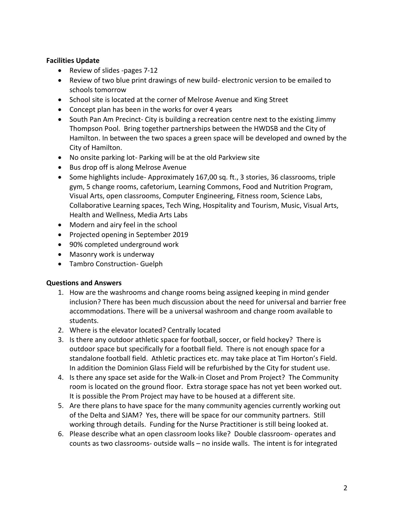### **Facilities Update**

- Review of slides -pages 7-12
- Review of two blue print drawings of new build- electronic version to be emailed to schools tomorrow
- School site is located at the corner of Melrose Avenue and King Street
- Concept plan has been in the works for over 4 years
- South Pan Am Precinct- City is building a recreation centre next to the existing Jimmy Thompson Pool. Bring together partnerships between the HWDSB and the City of Hamilton. In between the two spaces a green space will be developed and owned by the City of Hamilton.
- No onsite parking lot- Parking will be at the old Parkview site
- Bus drop off is along Melrose Avenue
- Some highlights include- Approximately 167,00 sq. ft., 3 stories, 36 classrooms, triple gym, 5 change rooms, cafetorium, Learning Commons, Food and Nutrition Program, Visual Arts, open classrooms, Computer Engineering, Fitness room, Science Labs, Collaborative Learning spaces, Tech Wing, Hospitality and Tourism, Music, Visual Arts, Health and Wellness, Media Arts Labs
- Modern and airy feel in the school
- Projected opening in September 2019
- 90% completed underground work
- Masonry work is underway
- Tambro Construction- Guelph

### **Questions and Answers**

- 1. How are the washrooms and change rooms being assigned keeping in mind gender inclusion? There has been much discussion about the need for universal and barrier free accommodations. There will be a universal washroom and change room available to students.
- 2. Where is the elevator located? Centrally located
- 3. Is there any outdoor athletic space for football, soccer, or field hockey? There is outdoor space but specifically for a football field. There is not enough space for a standalone football field. Athletic practices etc. may take place at Tim Horton's Field. In addition the Dominion Glass Field will be refurbished by the City for student use.
- 4. Is there any space set aside for the Walk-in Closet and Prom Project? The Community room is located on the ground floor. Extra storage space has not yet been worked out. It is possible the Prom Project may have to be housed at a different site.
- 5. Are there plans to have space for the many community agencies currently working out of the Delta and SJAM? Yes, there will be space for our community partners. Still working through details. Funding for the Nurse Practitioner is still being looked at.
- 6. Please describe what an open classroom looks like? Double classroom- operates and counts as two classrooms- outside walls – no inside walls. The intent is for integrated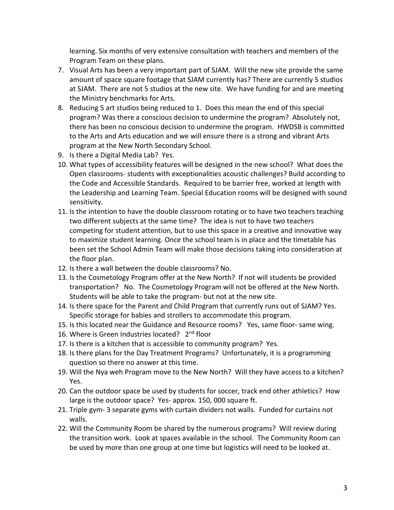learning. Six months of very extensive consultation with teachers and members of the Program Team on these plans.

- 7. Visual Arts has been a very important part of SJAM. Will the new site provide the same amount of space square footage that SJAM currently has? There are currently 5 studios at SJAM. There are not 5 studios at the new site. We have funding for and are meeting the Ministry benchmarks for Arts.
- 8. Reducing 5 art studios being reduced to 1. Does this mean the end of this special program? Was there a conscious decision to undermine the program? Absolutely not, there has been no conscious decision to undermine the program. HWDSB is committed to the Arts and Arts education and we will ensure there is a strong and vibrant Arts program at the New North Secondary School.
- 9. Is there a Digital Media Lab? Yes.
- 10. What types of accessibility features will be designed in the new school? What does the Open classrooms- students with exceptionalities acoustic challenges? Build according to the Code and Accessible Standards. Required to be barrier free, worked at length with the Leadership and Learning Team. Special Education rooms will be designed with sound sensitivity.
- 11. Is the intention to have the double classroom rotating or to have two teachers teaching two different subjects at the same time? The idea is not to have two teachers competing for student attention, but to use this space in a creative and innovative way to maximize student learning. Once the school team is in place and the timetable has been set the School Admin Team will make those decisions taking into consideration at the floor plan.
- 12. Is there a wall between the double classrooms? No.
- 13. Is the Cosmetology Program offer at the New North? If not will students be provided transportation? No. The Cosmetology Program will not be offered at the New North. Students will be able to take the program- but not at the new site.
- 14. Is there space for the Parent and Child Program that currently runs out of SJAM? Yes. Specific storage for babies and strollers to accommodate this program.
- 15. Is this located near the Guidance and Resource rooms? Yes, same floor- same wing.
- 16. Where is Green Industries located? 2<sup>nd</sup> floor
- 17. Is there is a kitchen that is accessible to community program? Yes.
- 18. Is there plans for the Day Treatment Programs? Unfortunately, it is a programming question so there no answer at this time.
- 19. Will the Nya weh Program move to the New North? Will they have access to a kitchen? Yes.
- 20. Can the outdoor space be used by students for soccer, track end other athletics? How large is the outdoor space? Yes- approx. 150, 000 square ft.
- 21. Triple gym- 3 separate gyms with curtain dividers not walls. Funded for curtains not walls.
- 22. Will the Community Room be shared by the numerous programs? Will review during the transition work. Look at spaces available in the school. The Community Room can be used by more than one group at one time but logistics will need to be looked at.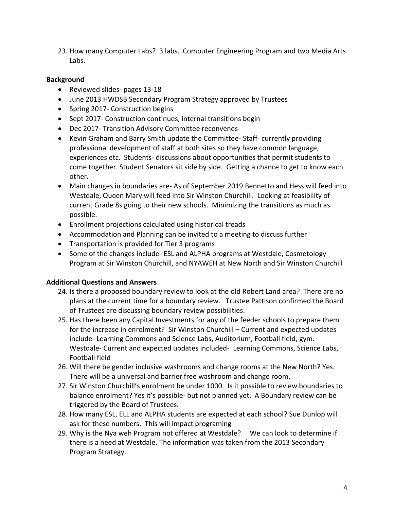23. How many Computer Labs? 3 labs. Computer Engineering Program and two Media Arts Labs.

# **Background**

- Reviewed slides- pages 13-18
- June 2013 HWDSB Secondary Program Strategy approved by Trustees
- Spring 2017- Construction begins
- Sept 2017- Construction continues, internal transitions begin
- Dec 2017- Transition Advisory Committee reconvenes
- Kevin Graham and Barry Smith update the Committee- Staff- currently providing professional development of staff at both sites so they have common language, experiences etc. Students- discussions about opportunities that permit students to come together. Student Senators sit side by side. Getting a chance to get to know each other.
- Main changes in boundaries are- As of September 2019 Bennetto and Hess will feed into Westdale, Queen Mary will feed into Sir Winston Churchill. Looking at feasibility of current Grade 8s going to their new schools. Minimizing the transitions as much as possible.
- Enrollment projections calculated using historical treads
- Accommodation and Planning can be invited to a meeting to discuss further
- Transportation is provided for Tier 3 programs
- Some of the changes include- ESL and ALPHA programs at Westdale, Cosmetology Program at Sir Winston Churchill, and NYAWEH at New North and Sir Winston Churchill

# **Additional Questions and Answers**

- 24. Is there a proposed boundary review to look at the old Robert Land area? There are no plans at the current time for a boundary review. Trustee Pattison confirmed the Board of Trustees are discussing boundary review possibilities.
- 25. Has there been any Capital Investments for any of the feeder schools to prepare them for the increase in enrolment? Sir Winston Churchill – Current and expected updates include- Learning Commons and Science Labs, Auditorium, Football field, gym. Westdale- Current and expected updates included- Learning Commons, Science Labs, Football field
- 26. Will there be gender inclusive washrooms and change rooms at the New North? Yes. There will be a universal and barrier free washroom and change room.
- 27. Sir Winston Churchill's enrolment be under 1000. Is it possible to review boundaries to balance enrolment? Yes it's possible- but not planned yet. A Boundary review can be triggered by the Board of Trustees.
- 28. How many ESL, ELL and ALPHA students are expected at each school? Sue Dunlop will ask for these numbers. This will impact programing
- 29. Why is the Nya weh Program not offered at Westdale? We can look to determine if there is a need at Westdale. The information was taken from the 2013 Secondary Program Strategy.